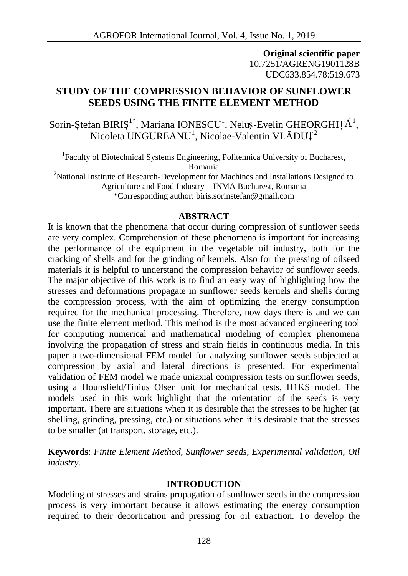**Original scientific paper** 10.7251/AGRENG1901128B UDC633.854.78:519.673

# **STUDY OF THE COMPRESSION BEHAVIOR OF SUNFLOWER SEEDS USING THE FINITE ELEMENT METHOD**

Sorin- tefan BIRI <sup>1\*</sup>, Mariana IONESCU<sup>1</sup>, Nelu -Evelin GHEORGHIȚ <sup>1</sup>, Nicoleta UNGUREANU<sup>1</sup>, Nicolae-Valentin VL  $\cdot$  DUȚ<sup>2</sup>

<sup>1</sup>Faculty of Biotechnical Systems Engineering, Politehnica University of Bucharest, Romania <sup>2</sup>National Institute of Research-Development for Machines and Installations Designed to

Agriculture and Food Industry – INMA Bucharest, Romania

\*Corresponding author: biris.sorinstefan@gmail.com

## **ABSTRACT**

It is known that the phenomena that occur during compression of sunflower seeds are very complex. Comprehension of these phenomena is important for increasing the performance of the equipment in the vegetable oil industry, both for the cracking of shells and for the grinding of kernels. Also for the pressing of oilseed materials it is helpful to understand the compression behavior of sunflower seeds. The major objective of this work is to find an easy way of highlighting how the stresses and deformations propagate in sunflower seeds kernels and shells during the compression process, with the aim of optimizing the energy consumption required for the mechanical processing. Therefore, now days there is and we can use the finite element method. This method is the most advanced engineering tool for computing numerical and mathematical modeling of complex phenomena involving the propagation of stress and strain fields in continuous media. In this paper a two-dimensional FEM model for analyzing sunflower seeds subjected at compression by axial and lateral directions is presented. For experimental validation of FEM model we made uniaxial compression tests on sunflower seeds, using a Hounsfield/Tinius Olsen unit for mechanical tests, H1KS model. The models used in this work highlight that the orientation of the seeds is very important. There are situations when it is desirable that the stresses to be higher (at shelling, grinding, pressing, etc.) or situations when it is desirable that the stresses to be smaller (at transport, storage, etc.).

**Keywords**: *Finite Element Method, Sunflower seeds, Experimental validation, Oil industry.*

## **INTRODUCTION**

Modeling of stresses and strains propagation of sunflower seeds in the compression process is very important because it allows estimating the energy consumption required to their decortication and pressing for oil extraction. To develop the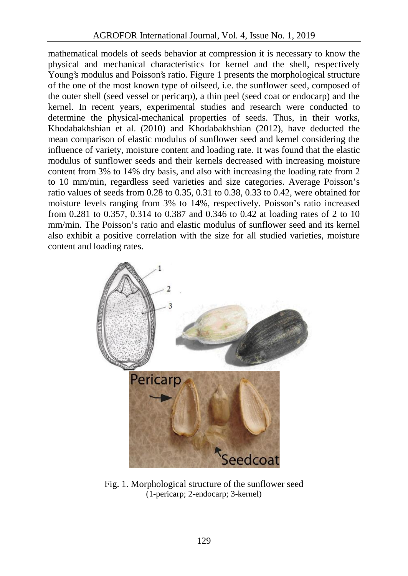mathematical models of seeds behavior at compression it is necessary to know the physical and mechanical characteristics for kernel and the shell, respectively Young's modulus and Poisson's ratio. Figure 1 presents the morphological structure of the one of the most known type of oilseed, i.e. the sunflower seed, composed of the outer shell (seed vessel or pericarp), a thin peel (seed coat or endocarp) and the kernel. In recent years, experimental studies and research were conducted to determine the physical-mechanical properties of seeds. Thus, in their works, Khodabakhshian et al. (2010) and Khodabakhshian (2012), have deducted the mean comparison of elastic modulus of sunflower seed and kernel considering the influence of variety, moisture content and loading rate. It was found that the elastic modulus of sunflower seeds and their kernels decreased with increasing moisture content from 3% to 14% dry basis, and also with increasing the loading rate from 2 to 10 mm/min, regardless seed varieties and size categories. Average Poisson's ratio values of seeds from 0.28 to 0.35, 0.31 to 0.38, 0.33 to 0.42, were obtained for moisture levels ranging from 3% to 14%, respectively. Poisson's ratio increased from 0.281 to 0.357, 0.314 to 0.387 and 0.346 to 0.42 at loading rates of 2 to 10 mm/min. The Poisson's ratio and elastic modulus of sunflower seed and its kernel also exhibit a positive correlation with the size for all studied varieties, moisture content and loading rates.



Fig. 1. Morphological structure of the sunflower seed (1-pericarp; 2-endocarp; 3-kernel)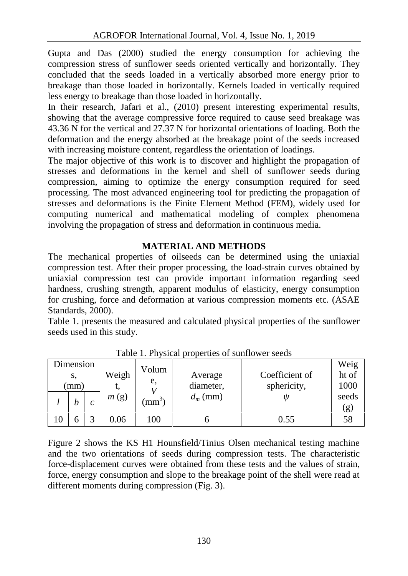Gupta and Das (2000) studied the energy consumption for achieving the compression stress of sunflower seeds oriented vertically and horizontally. They concluded that the seeds loaded in a vertically absorbed more energy prior to breakage than those loaded in horizontally. Kernels loaded in vertically required less energy to breakage than those loaded in horizontally.

In their research, Jafari et al., (2010) present interesting experimental results, showing that the average compressive force required to cause seed breakage was 43.36 N for the vertical and 27.37 N for horizontal orientations of loading. Both the deformation and the energy absorbed at the breakage point of the seeds increased with increasing moisture content, regardless the orientation of loadings.

The major objective of this work is to discover and highlight the propagation of stresses and deformations in the kernel and shell of sunflower seeds during compression, aiming to optimize the energy consumption required for seed processing. The most advanced engineering tool for predicting the propagation of stresses and deformations is the Finite Element Method (FEM), widely used for computing numerical and mathematical modeling of complex phenomena involving the propagation of stress and deformation in continuous media.

## **MATERIAL AND METHODS**

The mechanical properties of oilseeds can be determined using the uniaxial compression test. After their proper processing, the load-strain curves obtained by uniaxial compression test can provide important information regarding seed hardness, crushing strength, apparent modulus of elasticity, energy consumption for crushing, force and deformation at various compression moments etc. (ASAE Standards, 2000).

Table 1. presents the measured and calculated physical properties of the sunflower seeds used in this study.

| Dimension |    |   |       |           |             |                | Weig  |  |
|-----------|----|---|-------|-----------|-------------|----------------|-------|--|
|           | S, |   | Weigh | Volum     | Average     | Coefficient of | ht of |  |
| (mm)      |    |   | e,    | diameter, | sphericity, | 1000           |       |  |
|           |    |   | m(g)  | $(mm^3)$  | $d_m$ (mm)  |                | seeds |  |
|           | h  | C |       |           |             |                | (g)   |  |
| 10        |    |   | 0.06  | 100       |             | 0.55           | 58    |  |

Table 1. Physical properties of sunflower seeds

Figure 2 shows the KS H1 Hounsfield/Tinius Olsen mechanical testing machine and the two orientations of seeds during compression tests. The characteristic force-displacement curves were obtained from these tests and the values of strain, force, energy consumption and slope to the breakage point of the shell were read at different moments during compression (Fig. 3).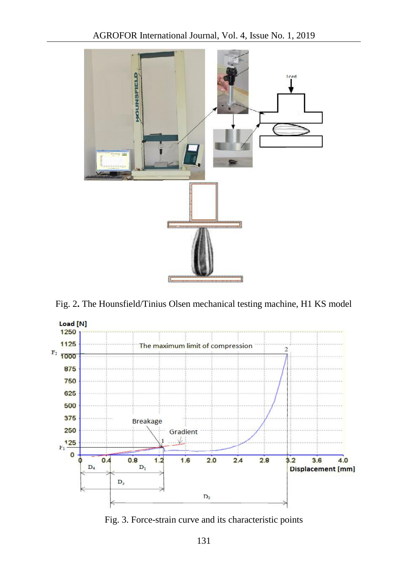

Fig. 2**.** The Hounsfield/Tinius Olsen mechanical testing machine, H1 KS model



Fig. 3. Force-strain curve and its characteristic points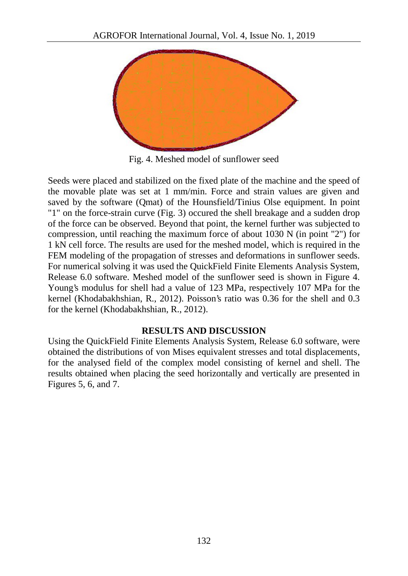

Fig. 4. Meshed model of sunflower seed

Seeds were placed and stabilized on the fixed plate of the machine and the speed of the movable plate was set at 1 mm/min. Force and strain values are given and saved by the software (Qmat) of the Hounsfield/Tinius Olse equipment. In point "1" on the force-strain curve (Fig. 3) occured the shell breakage and a sudden drop of the force can be observed. Beyond that point, the kernel further was subjected to compression, until reaching the maximum force of about 1030 N (in point "2") for 1 kN cell force. The results are used for the meshed model, which is required in the FEM modeling of the propagation of stresses and deformations in sunflower seeds. For numerical solving it was used the QuickField Finite Elements Analysis System, Release 6.0 software. Meshed model of the sunflower seed is shown in Figure 4. Young's modulus for shell had a value of 123 MPa, respectively 107 MPa for the kernel (Khodabakhshian, R., 2012). Poisson's ratio was 0.36 for the shell and 0.3 for the kernel (Khodabakhshian, R., 2012).

## **RESULTS AND DISCUSSION**

Using the QuickField Finite Elements Analysis System, Release 6.0 software, were obtained the distributions of von Mises equivalent stresses and total displacements, for the analysed field of the complex model consisting of kernel and shell. The results obtained when placing the seed horizontally and vertically are presented in Figures 5, 6, and 7.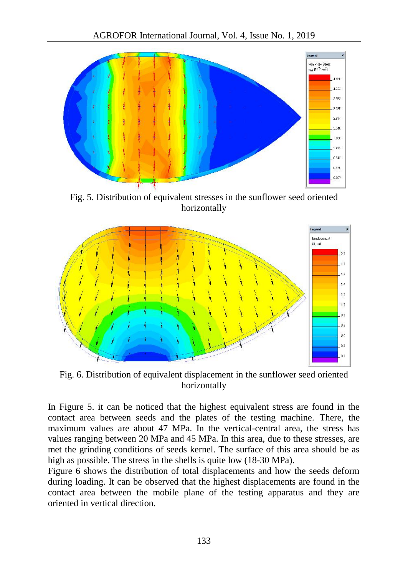

Fig. 5. Distribution of equivalent stresses in the sunflower seed oriented horizontally



Fig. 6. Distribution of equivalent displacement in the sunflower seed oriented horizontally

In Figure 5. it can be noticed that the highest equivalent stress are found in the contact area between seeds and the plates of the testing machine. There, the maximum values are about 47 MPa. In the vertical-central area, the stress has values ranging between 20 MPa and 45 MPa. In this area, due to these stresses, are met the grinding conditions of seeds kernel. The surface of this area should be as high as possible. The stress in the shells is quite low (18-30 MPa).

Figure 6 shows the distribution of total displacements and how the seeds deform during loading. It can be observed that the highest displacements are found in the contact area between the mobile plane of the testing apparatus and they are oriented in vertical direction.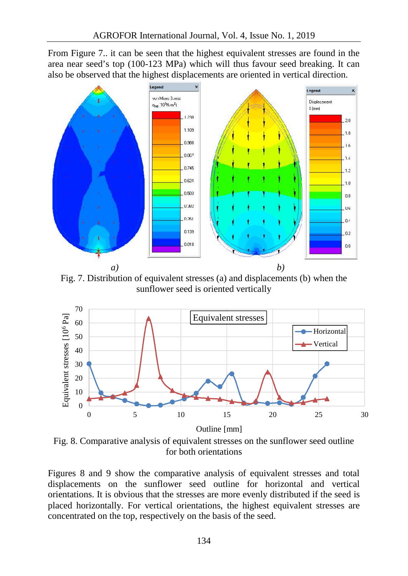From Figure 7.. it can be seen that the highest equivalent stresses are found in the area near seed's top (100-123 MPa) which will thus favour seed breaking. It can also be observed that the highest displacements are oriented in vertical direction.



Fig. 7. Distribution of equivalent stresses (a) and displacements (b) when the sunflower seed is oriented vertically



Fig. 8. Comparative analysis of equivalent stresses on the sunflower seed outline for both orientations

Figures 8 and 9 show the comparative analysis of equivalent stresses and total displacements on the sunflower seed outline for horizontal and vertical orientations. It is obvious that the stresses are more evenly distributed if the seed is placed horizontally. For vertical orientations, the highest equivalent stresses are concentrated on the top, respectively on the basis of the seed.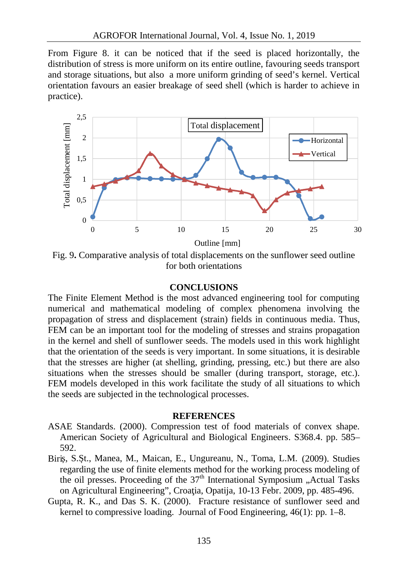From Figure 8. it can be noticed that if the seed is placed horizontally, the distribution of stress is more uniform on its entire outline, favouring seeds transport and storage situations, but also a more uniform grinding of seed's kernel. Vertical orientation favours an easier breakage of seed shell (which is harder to achieve in practice).



Fig. 9**.** Comparative analysis of total displacements on the sunflower seed outline for both orientations

### **CONCLUSIONS**

The Finite Element Method is the most advanced engineering tool for computing numerical and mathematical modeling of complex phenomena involving the propagation of stress and displacement (strain) fields in continuous media. Thus, FEM can be an important tool for the modeling of stresses and strains propagation in the kernel and shell of sunflower seeds. The models used in this work highlight that the orientation of the seeds is very important. In some situations, it is desirable that the stresses are higher (at shelling, grinding, pressing, etc.) but there are also situations when the stresses should be smaller (during transport, storage, etc.). FEM models developed in this work facilitate the study of all situations to which the seeds are subjected in the technological processes.

### **REFERENCES**

- ASAE Standards. (2000). Compression test of food materials of convex shape. American Society of Agricultural and Biological Engineers. S368.4. pp. 585– 592.
- Biri, S. t., Manea, M., Maican, E., Ungureanu, N., Toma, L.M. (2009). Studies regarding the use of finite elements method for the working process modeling of the oil presses. Proceeding of the  $37<sup>th</sup>$  International Symposium "Actual Tasks on Agricultural Engineering", Croa ia, Opatija, 10-13 Febr. 2009, pp. 485-496.
- Gupta, R. K., and Das S. K. (2000). Fracture resistance of sunflower seed and kernel to compressive loading. Journal of Food Engineering, 46(1): pp. 1–8.